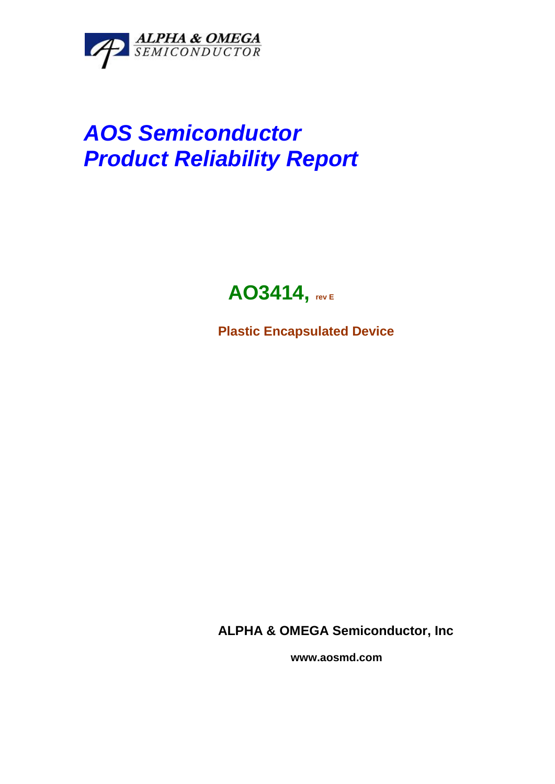

# *AOS Semiconductor Product Reliability Report*

# **AO3414, rev <sup>E</sup>**

**Plastic Encapsulated Device**

**ALPHA & OMEGA Semiconductor, Inc**

 **www.aosmd.com**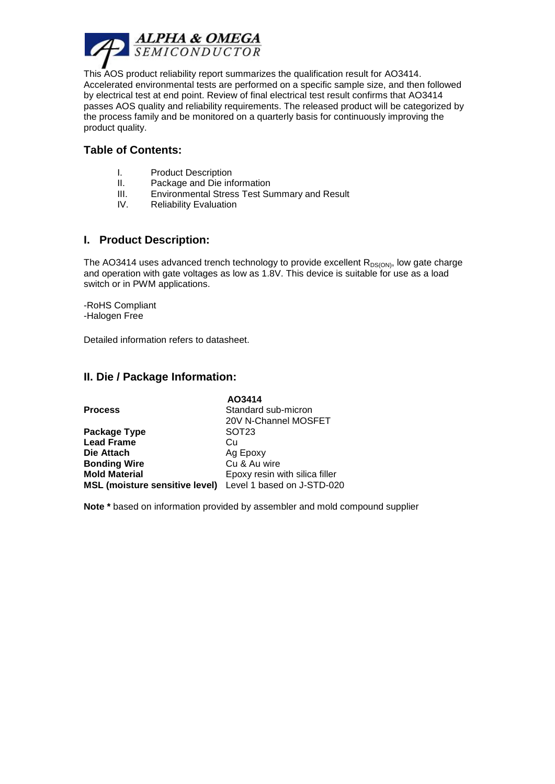

This AOS product reliability report summarizes the qualification result for AO3414. Accelerated environmental tests are performed on a specific sample size, and then followed by electrical test at end point. Review of final electrical test result confirms that AO3414 passes AOS quality and reliability requirements. The released product will be categorized by the process family and be monitored on a quarterly basis for continuously improving the product quality.

#### **Table of Contents:**

- I. Product Description
- II. Package and Die information
- III. Environmental Stress Test Summary and Result
- IV. Reliability Evaluation

#### **I. Product Description:**

The AO3414 uses advanced trench technology to provide excellent  $R_{DS(ON)}$ , low gate charge and operation with gate voltages as low as 1.8V. This device is suitable for use as a load switch or in PWM applications.

-RoHS Compliant -Halogen Free

Detailed information refers to datasheet.

#### **II. Die / Package Information:**

|                                       | AO3414                         |  |  |  |
|---------------------------------------|--------------------------------|--|--|--|
| <b>Process</b>                        | Standard sub-micron            |  |  |  |
|                                       | 20V N-Channel MOSFET           |  |  |  |
| Package Type                          | SOT <sub>23</sub>              |  |  |  |
| <b>Lead Frame</b>                     | Cн                             |  |  |  |
| Die Attach                            | Ag Epoxy                       |  |  |  |
| <b>Bonding Wire</b>                   | Cu & Au wire                   |  |  |  |
| <b>Mold Material</b>                  | Epoxy resin with silica filler |  |  |  |
| <b>MSL (moisture sensitive level)</b> | Level 1 based on J-STD-020     |  |  |  |

**Note \*** based on information provided by assembler and mold compound supplier